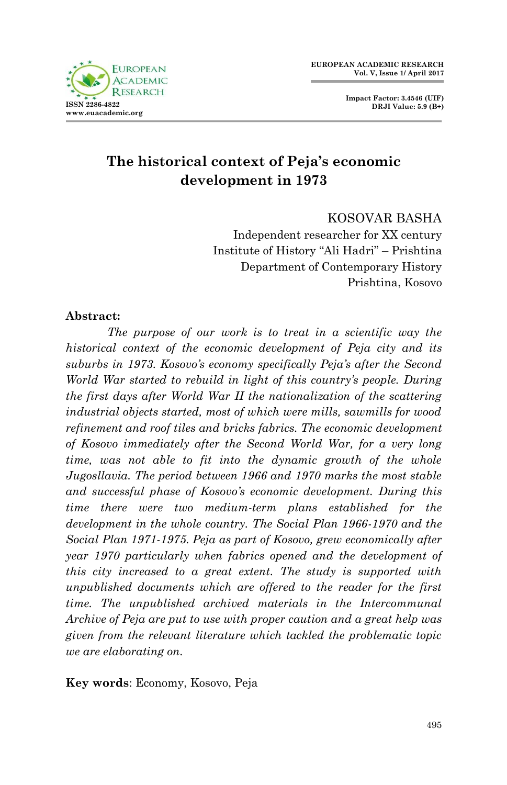

**Impact Factor: 3.4546 (UIF) DRJI Value: 5.9 (B+)**

# **The historical context of Peja's economic development in 1973**

#### KOSOVAR BASHA

Independent researcher for XX century Institute of History "Ali Hadri" – Prishtina Department of Contemporary History Prishtina, Kosovo

#### **Abstract:**

*The purpose of our work is to treat in a scientific way the historical context of the economic development of Peja city and its suburbs in 1973. Kosovo's economy specifically Peja's after the Second World War started to rebuild in light of this country's people. During the first days after World War II the nationalization of the scattering industrial objects started, most of which were mills, sawmills for wood refinement and roof tiles and bricks fabrics. The economic development of Kosovo immediately after the Second World War, for a very long time, was not able to fit into the dynamic growth of the whole Jugosllavia. The period between 1966 and 1970 marks the most stable and successful phase of Kosovo's economic development. During this time there were two medium-term plans established for the development in the whole country. The Social Plan 1966-1970 and the Social Plan 1971-1975. Peja as part of Kosovo, grew economically after year 1970 particularly when fabrics opened and the development of this city increased to a great extent. The study is supported with unpublished documents which are offered to the reader for the first time. The unpublished archived materials in the Intercommunal Archive of Peja are put to use with proper caution and a great help was given from the relevant literature which tackled the problematic topic we are elaborating on.*

**Key words**: Economy, Kosovo, Peja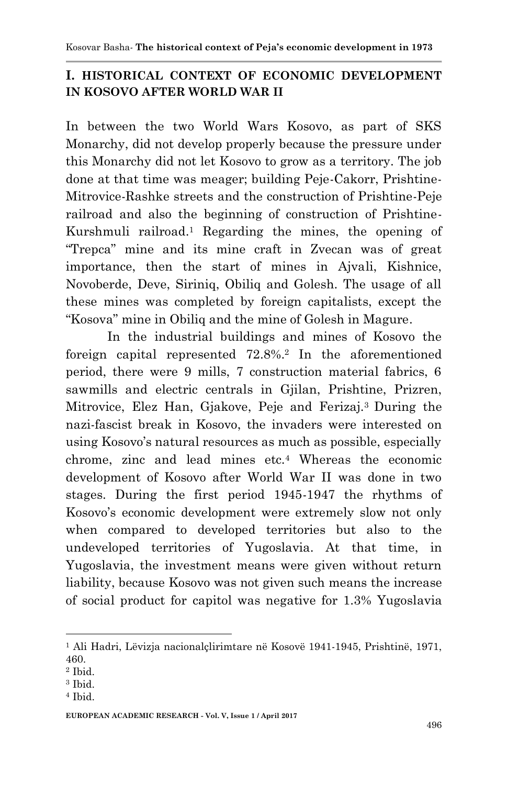### **I. HISTORICAL CONTEXT OF ECONOMIC DEVELOPMENT IN KOSOVO AFTER WORLD WAR II**

In between the two World Wars Kosovo, as part of SKS Monarchy, did not develop properly because the pressure under this Monarchy did not let Kosovo to grow as a territory. The job done at that time was meager; building Peje-Cakorr, Prishtine-Mitrovice-Rashke streets and the construction of Prishtine-Peje railroad and also the beginning of construction of Prishtine-Kurshmuli railroad.<sup>1</sup> Regarding the mines, the opening of "Trepca" mine and its mine craft in Zvecan was of great importance, then the start of mines in Ajvali, Kishnice, Novoberde, Deve, Siriniq, Obiliq and Golesh. The usage of all these mines was completed by foreign capitalists, except the "Kosova" mine in Obiliq and the mine of Golesh in Magure.

In the industrial buildings and mines of Kosovo the foreign capital represented 72.8%.<sup>2</sup> In the aforementioned period, there were 9 mills, 7 construction material fabrics, 6 sawmills and electric centrals in Gjilan, Prishtine, Prizren, Mitrovice, Elez Han, Gjakove, Peje and Ferizaj.<sup>3</sup> During the nazi-fascist break in Kosovo, the invaders were interested on using Kosovo's natural resources as much as possible, especially chrome, zinc and lead mines etc.<sup>4</sup> Whereas the economic development of Kosovo after World War II was done in two stages. During the first period 1945-1947 the rhythms of Kosovo's economic development were extremely slow not only when compared to developed territories but also to the undeveloped territories of Yugoslavia. At that time, in Yugoslavia, the investment means were given without return liability, because Kosovo was not given such means the increase of social product for capitol was negative for 1.3% Yugoslavia

<sup>1</sup> Ali Hadri, Lëvizja nacionalçlirimtare në Kosovë 1941-1945, Prishtinë, 1971, 460.

<sup>2</sup> Ibid.

<sup>3</sup> Ibid.

<sup>4</sup> Ibid.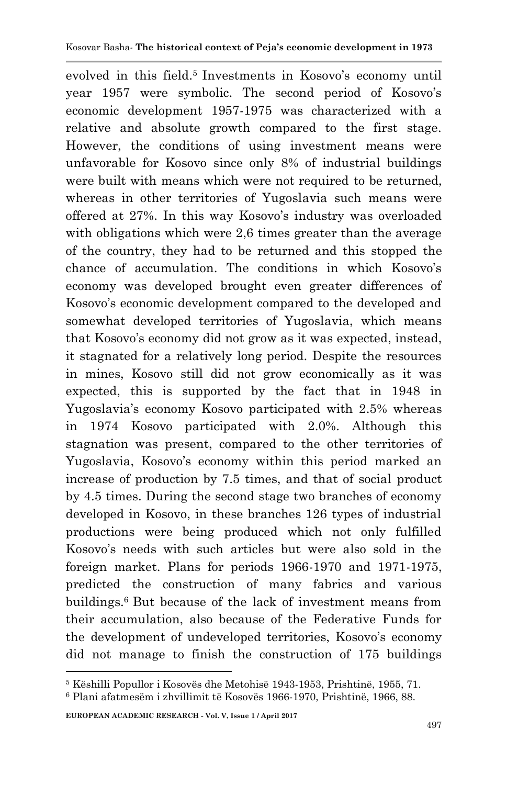evolved in this field.<sup>5</sup> Investments in Kosovo's economy until year 1957 were symbolic. The second period of Kosovo's economic development 1957-1975 was characterized with a relative and absolute growth compared to the first stage. However, the conditions of using investment means were unfavorable for Kosovo since only 8% of industrial buildings were built with means which were not required to be returned, whereas in other territories of Yugoslavia such means were offered at 27%. In this way Kosovo's industry was overloaded with obligations which were 2,6 times greater than the average of the country, they had to be returned and this stopped the chance of accumulation. The conditions in which Kosovo's economy was developed brought even greater differences of Kosovo's economic development compared to the developed and somewhat developed territories of Yugoslavia, which means that Kosovo's economy did not grow as it was expected, instead, it stagnated for a relatively long period. Despite the resources in mines, Kosovo still did not grow economically as it was expected, this is supported by the fact that in 1948 in Yugoslavia's economy Kosovo participated with 2.5% whereas in 1974 Kosovo participated with 2.0%. Although this stagnation was present, compared to the other territories of Yugoslavia, Kosovo's economy within this period marked an increase of production by 7.5 times, and that of social product by 4.5 times. During the second stage two branches of economy developed in Kosovo, in these branches 126 types of industrial productions were being produced which not only fulfilled Kosovo's needs with such articles but were also sold in the foreign market. Plans for periods 1966-1970 and 1971-1975, predicted the construction of many fabrics and various buildings.<sup>6</sup> But because of the lack of investment means from their accumulation, also because of the Federative Funds for the development of undeveloped territories, Kosovo's economy did not manage to finish the construction of 175 buildings

<sup>5</sup> Këshilli Popullor i Kosovës dhe Metohisë 1943-1953, Prishtinë, 1955, 71.

<sup>6</sup> Plani afatmesëm i zhvillimit të Kosovës 1966-1970, Prishtinë, 1966, 88.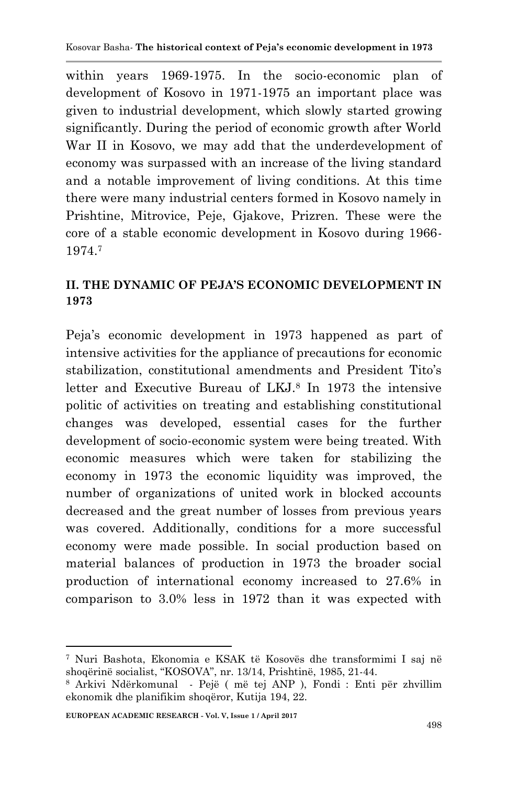within years 1969-1975. In the socio-economic plan of development of Kosovo in 1971-1975 an important place was given to industrial development, which slowly started growing significantly. During the period of economic growth after World War II in Kosovo, we may add that the underdevelopment of economy was surpassed with an increase of the living standard and a notable improvement of living conditions. At this time there were many industrial centers formed in Kosovo namely in Prishtine, Mitrovice, Peje, Gjakove, Prizren. These were the core of a stable economic development in Kosovo during 1966- 1974.<sup>7</sup>

### **II. THE DYNAMIC OF PEJA'S ECONOMIC DEVELOPMENT IN 1973**

Peja's economic development in 1973 happened as part of intensive activities for the appliance of precautions for economic stabilization, constitutional amendments and President Tito's letter and Executive Bureau of LKJ.<sup>8</sup> In 1973 the intensive politic of activities on treating and establishing constitutional changes was developed, essential cases for the further development of socio-economic system were being treated. With economic measures which were taken for stabilizing the economy in 1973 the economic liquidity was improved, the number of organizations of united work in blocked accounts decreased and the great number of losses from previous years was covered. Additionally, conditions for a more successful economy were made possible. In social production based on material balances of production in 1973 the broader social production of international economy increased to 27.6% in comparison to 3.0% less in 1972 than it was expected with

<sup>7</sup> Nuri Bashota, Ekonomia e KSAK të Kosovës dhe transformimi I saj në shoqërinë socialist, "KOSOVA", nr. 13/14, Prishtinë, 1985, 21-44.

<sup>8</sup> Arkivi Ndërkomunal - Pejë ( më tej ANP ), Fondi : Enti për zhvillim ekonomik dhe planifikim shoqëror, Kutija 194, 22.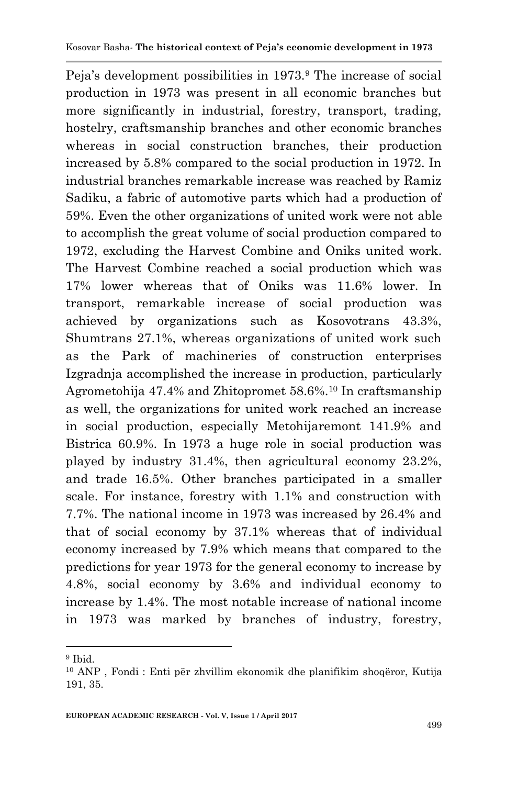Peja's development possibilities in 1973.<sup>9</sup> The increase of social production in 1973 was present in all economic branches but more significantly in industrial, forestry, transport, trading, hostelry, craftsmanship branches and other economic branches whereas in social construction branches, their production increased by 5.8% compared to the social production in 1972. In industrial branches remarkable increase was reached by Ramiz Sadiku, a fabric of automotive parts which had a production of 59%. Even the other organizations of united work were not able to accomplish the great volume of social production compared to 1972, excluding the Harvest Combine and Oniks united work. The Harvest Combine reached a social production which was 17% lower whereas that of Oniks was 11.6% lower. In transport, remarkable increase of social production was achieved by organizations such as Kosovotrans 43.3%, Shumtrans 27.1%, whereas organizations of united work such as the Park of machineries of construction enterprises Izgradnja accomplished the increase in production, particularly Agrometohija 47.4% and Zhitopromet 58.6%.<sup>10</sup> In craftsmanship as well, the organizations for united work reached an increase in social production, especially Metohijaremont 141.9% and Bistrica 60.9%. In 1973 a huge role in social production was played by industry 31.4%, then agricultural economy 23.2%, and trade 16.5%. Other branches participated in a smaller scale. For instance, forestry with 1.1% and construction with 7.7%. The national income in 1973 was increased by 26.4% and that of social economy by 37.1% whereas that of individual economy increased by 7.9% which means that compared to the predictions for year 1973 for the general economy to increase by 4.8%, social economy by 3.6% and individual economy to increase by 1.4%. The most notable increase of national income in 1973 was marked by branches of industry, forestry,

<sup>&</sup>lt;sup>9</sup> Ibid.

<sup>10</sup> ANP , Fondi : Enti për zhvillim ekonomik dhe planifikim shoqëror, Kutija 191, 35.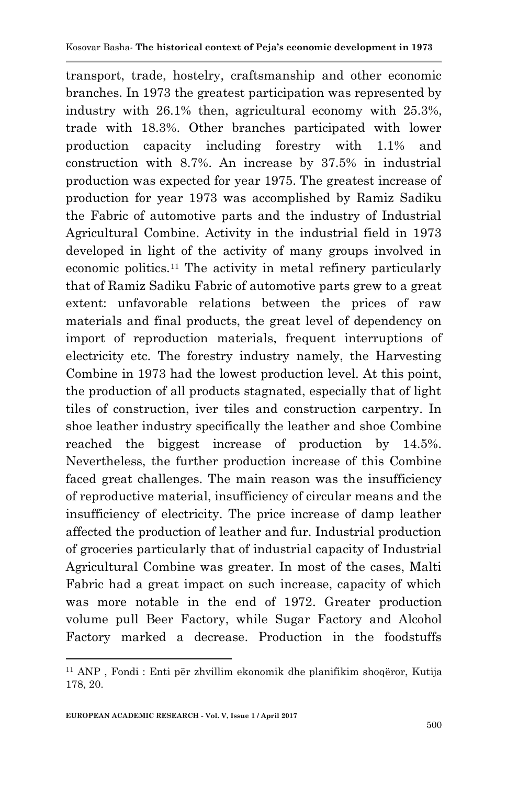transport, trade, hostelry, craftsmanship and other economic branches. In 1973 the greatest participation was represented by industry with 26.1% then, agricultural economy with 25.3%, trade with 18.3%. Other branches participated with lower production capacity including forestry with 1.1% and construction with 8.7%. An increase by 37.5% in industrial production was expected for year 1975. The greatest increase of production for year 1973 was accomplished by Ramiz Sadiku the Fabric of automotive parts and the industry of Industrial Agricultural Combine. Activity in the industrial field in 1973 developed in light of the activity of many groups involved in economic politics.<sup>11</sup> The activity in metal refinery particularly that of Ramiz Sadiku Fabric of automotive parts grew to a great extent: unfavorable relations between the prices of raw materials and final products, the great level of dependency on import of reproduction materials, frequent interruptions of electricity etc. The forestry industry namely, the Harvesting Combine in 1973 had the lowest production level. At this point, the production of all products stagnated, especially that of light tiles of construction, iver tiles and construction carpentry. In shoe leather industry specifically the leather and shoe Combine reached the biggest increase of production by 14.5%. Nevertheless, the further production increase of this Combine faced great challenges. The main reason was the insufficiency of reproductive material, insufficiency of circular means and the insufficiency of electricity. The price increase of damp leather affected the production of leather and fur. Industrial production of groceries particularly that of industrial capacity of Industrial Agricultural Combine was greater. In most of the cases, Malti Fabric had a great impact on such increase, capacity of which was more notable in the end of 1972. Greater production volume pull Beer Factory, while Sugar Factory and Alcohol Factory marked a decrease. Production in the foodstuffs

<sup>11</sup> ANP , Fondi : Enti për zhvillim ekonomik dhe planifikim shoqëror, Kutija 178, 20.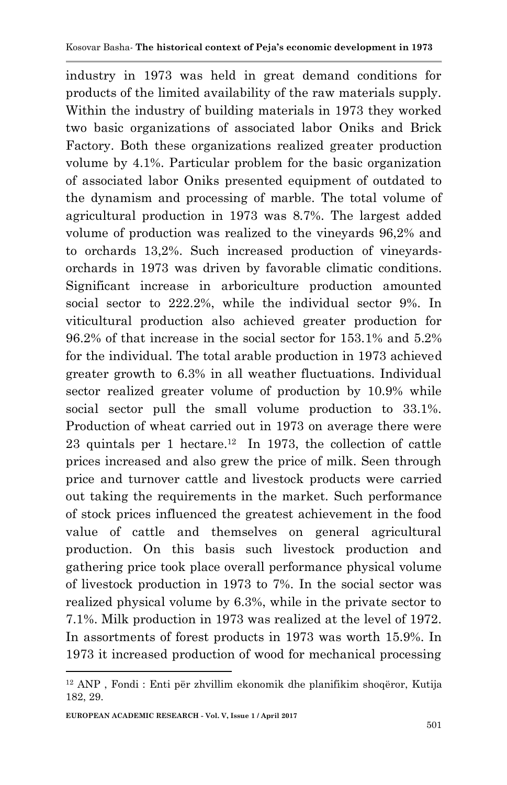industry in 1973 was held in great demand conditions for products of the limited availability of the raw materials supply. Within the industry of building materials in 1973 they worked two basic organizations of associated labor Oniks and Brick Factory. Both these organizations realized greater production volume by 4.1%. Particular problem for the basic organization of associated labor Oniks presented equipment of outdated to the dynamism and processing of marble. The total volume of agricultural production in 1973 was 8.7%. The largest added volume of production was realized to the vineyards 96,2% and to orchards 13,2%. Such increased production of vineyardsorchards in 1973 was driven by favorable climatic conditions. Significant increase in arboriculture production amounted social sector to 222.2%, while the individual sector 9%. In viticultural production also achieved greater production for 96.2% of that increase in the social sector for 153.1% and 5.2% for the individual. The total arable production in 1973 achieved greater growth to 6.3% in all weather fluctuations. Individual sector realized greater volume of production by 10.9% while social sector pull the small volume production to 33.1%. Production of wheat carried out in 1973 on average there were 23 quintals per 1 hectare.<sup>12</sup> In 1973, the collection of cattle prices increased and also grew the price of milk. Seen through price and turnover cattle and livestock products were carried out taking the requirements in the market. Such performance of stock prices influenced the greatest achievement in the food value of cattle and themselves on general agricultural production. On this basis such livestock production and gathering price took place overall performance physical volume of livestock production in 1973 to 7%. In the social sector was realized physical volume by 6.3%, while in the private sector to 7.1%. Milk production in 1973 was realized at the level of 1972. In assortments of forest products in 1973 was worth 15.9%. In 1973 it increased production of wood for mechanical processing

<sup>12</sup> ANP , Fondi : Enti për zhvillim ekonomik dhe planifikim shoqëror, Kutija 182, 29.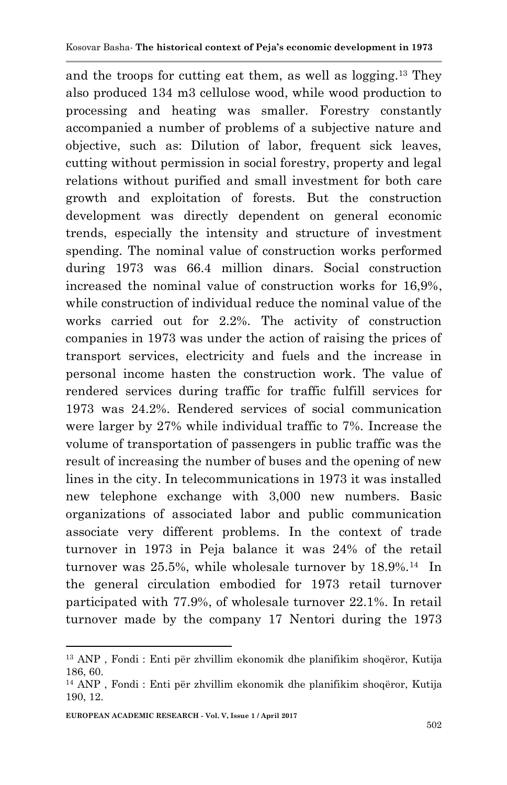and the troops for cutting eat them, as well as logging.<sup>13</sup> They also produced 134 m3 cellulose wood, while wood production to processing and heating was smaller. Forestry constantly accompanied a number of problems of a subjective nature and objective, such as: Dilution of labor, frequent sick leaves, cutting without permission in social forestry, property and legal relations without purified and small investment for both care growth and exploitation of forests. But the construction development was directly dependent on general economic trends, especially the intensity and structure of investment spending. The nominal value of construction works performed during 1973 was 66.4 million dinars. Social construction increased the nominal value of construction works for 16,9%, while construction of individual reduce the nominal value of the works carried out for 2.2%. The activity of construction companies in 1973 was under the action of raising the prices of transport services, electricity and fuels and the increase in personal income hasten the construction work. The value of rendered services during traffic for traffic fulfill services for 1973 was 24.2%. Rendered services of social communication were larger by 27% while individual traffic to 7%. Increase the volume of transportation of passengers in public traffic was the result of increasing the number of buses and the opening of new lines in the city. In telecommunications in 1973 it was installed new telephone exchange with 3,000 new numbers. Basic organizations of associated labor and public communication associate very different problems. In the context of trade turnover in 1973 in Peja balance it was 24% of the retail turnover was  $25.5\%$ , while wholesale turnover by  $18.9\%$ .<sup>14</sup> In the general circulation embodied for 1973 retail turnover participated with 77.9%, of wholesale turnover 22.1%. In retail turnover made by the company 17 Nentori during the 1973

<sup>13</sup> ANP , Fondi : Enti për zhvillim ekonomik dhe planifikim shoqëror, Kutija 186, 60.

<sup>14</sup> ANP , Fondi : Enti për zhvillim ekonomik dhe planifikim shoqëror, Kutija 190, 12.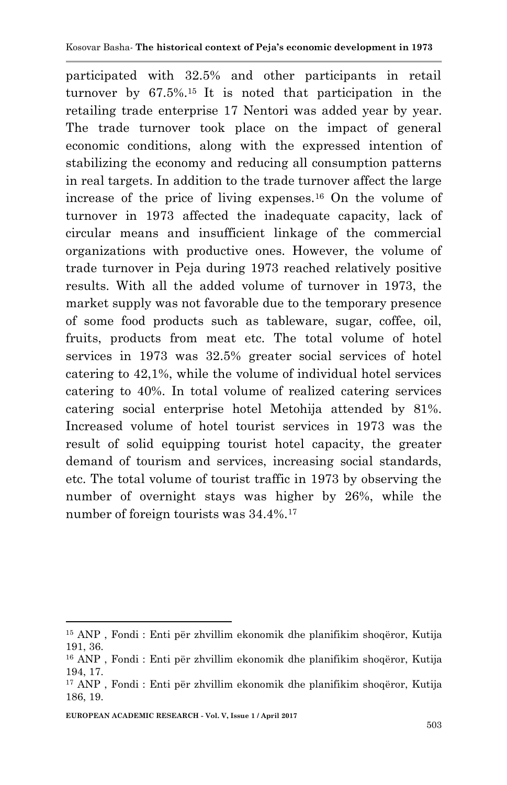participated with 32.5% and other participants in retail turnover by 67.5%.<sup>15</sup> It is noted that participation in the retailing trade enterprise 17 Nentori was added year by year. The trade turnover took place on the impact of general economic conditions, along with the expressed intention of stabilizing the economy and reducing all consumption patterns in real targets. In addition to the trade turnover affect the large increase of the price of living expenses.<sup>16</sup> On the volume of turnover in 1973 affected the inadequate capacity, lack of circular means and insufficient linkage of the commercial organizations with productive ones. However, the volume of trade turnover in Peja during 1973 reached relatively positive results. With all the added volume of turnover in 1973, the market supply was not favorable due to the temporary presence of some food products such as tableware, sugar, coffee, oil, fruits, products from meat etc. The total volume of hotel services in 1973 was 32.5% greater social services of hotel catering to 42,1%, while the volume of individual hotel services catering to 40%. In total volume of realized catering services catering social enterprise hotel Metohija attended by 81%. Increased volume of hotel tourist services in 1973 was the result of solid equipping tourist hotel capacity, the greater demand of tourism and services, increasing social standards, etc. The total volume of tourist traffic in 1973 by observing the number of overnight stays was higher by 26%, while the number of foreign tourists was 34.4%.<sup>17</sup>

<sup>15</sup> ANP , Fondi : Enti për zhvillim ekonomik dhe planifikim shoqëror, Kutija 191, 36.

<sup>16</sup> ANP , Fondi : Enti për zhvillim ekonomik dhe planifikim shoqëror, Kutija 194, 17.

<sup>17</sup> ANP , Fondi : Enti për zhvillim ekonomik dhe planifikim shoqëror, Kutija 186, 19.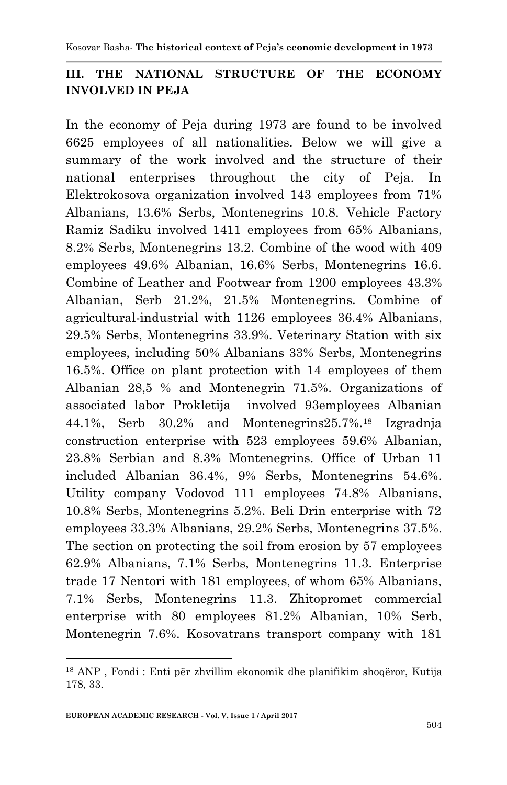#### **III. THE NATIONAL STRUCTURE OF THE ECONOMY INVOLVED IN PEJA**

In the economy of Peja during 1973 are found to be involved 6625 employees of all nationalities. Below we will give a summary of the work involved and the structure of their national enterprises throughout the city of Peja. In Elektrokosova organization involved 143 employees from 71% Albanians, 13.6% Serbs, Montenegrins 10.8. Vehicle Factory Ramiz Sadiku involved 1411 employees from 65% Albanians, 8.2% Serbs, Montenegrins 13.2. Combine of the wood with 409 employees 49.6% Albanian, 16.6% Serbs, Montenegrins 16.6. Combine of Leather and Footwear from 1200 employees 43.3% Albanian, Serb 21.2%, 21.5% Montenegrins. Combine of agricultural-industrial with 1126 employees 36.4% Albanians, 29.5% Serbs, Montenegrins 33.9%. Veterinary Station with six employees, including 50% Albanians 33% Serbs, Montenegrins 16.5%. Office on plant protection with 14 employees of them Albanian 28,5 % and Montenegrin 71.5%. Organizations of associated labor Prokletija involved 93employees Albanian 44.1%, Serb 30.2% and Montenegrins25.7%.<sup>18</sup> Izgradnja construction enterprise with 523 employees 59.6% Albanian, 23.8% Serbian and 8.3% Montenegrins. Office of Urban 11 included Albanian 36.4%, 9% Serbs, Montenegrins 54.6%. Utility company Vodovod 111 employees 74.8% Albanians, 10.8% Serbs, Montenegrins 5.2%. Beli Drin enterprise with 72 employees 33.3% Albanians, 29.2% Serbs, Montenegrins 37.5%. The section on protecting the soil from erosion by 57 employees 62.9% Albanians, 7.1% Serbs, Montenegrins 11.3. Enterprise trade 17 Nentori with 181 employees, of whom 65% Albanians, 7.1% Serbs, Montenegrins 11.3. Zhitopromet commercial enterprise with 80 employees 81.2% Albanian, 10% Serb, Montenegrin 7.6%. Kosovatrans transport company with 181

<sup>18</sup> ANP , Fondi : Enti për zhvillim ekonomik dhe planifikim shoqëror, Kutija 178, 33.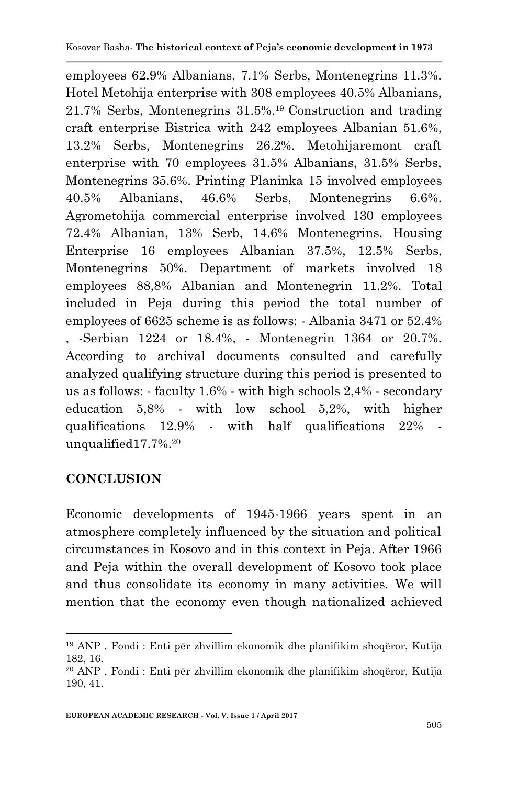employees 62.9% Albanians, 7.1% Serbs, Montenegrins 11.3%. Hotel Metohija enterprise with 308 employees 40.5% Albanians, 21.7% Serbs, Montenegrins 31.5%. <sup>19</sup> Construction and trading craft enterprise Bistrica with 242 employees Albanian 51.6%, 13.2% Serbs, Montenegrins 26.2%. Metohijaremont craft enterprise with 70 employees 31.5% Albanians, 31.5% Serbs, Montenegrins 35.6%. Printing Planinka 15 involved employees 40.5% Albanians, 46.6% Serbs, Montenegrins 6.6%. Agrometohija commercial enterprise involved 130 employees 72.4% Albanian, 13% Serb, 14.6% Montenegrins. Housing Enterprise 16 employees Albanian 37.5%, 12.5% Serbs, Montenegrins 50%. Department of markets involved 18 employees 88,8% Albanian and Montenegrin 11,2%. Total included in Peja during this period the total number of employees of 6625 scheme is as follows: - Albania 3471 or 52.4% , -Serbian 1224 or 18.4%, - Montenegrin 1364 or 20.7%. According to archival documents consulted and carefully analyzed qualifying structure during this period is presented to us as follows: - faculty 1.6% - with high schools 2,4% - secondary education 5,8% - with low school 5,2%, with higher qualifications 12.9% - with half qualifications 22% unqualified17.7%.<sup>20</sup>

## **CONCLUSION**

Economic developments of 1945-1966 years spent in an atmosphere completely influenced by the situation and political circumstances in Kosovo and in this context in Peja. After 1966 and Peja within the overall development of Kosovo took place and thus consolidate its economy in many activities. We will mention that the economy even though nationalized achieved

<sup>1</sup> <sup>19</sup> ANP , Fondi : Enti për zhvillim ekonomik dhe planifikim shoqëror, Kutija 182, 16.

<sup>20</sup> ANP , Fondi : Enti për zhvillim ekonomik dhe planifikim shoqëror, Kutija 190, 41.